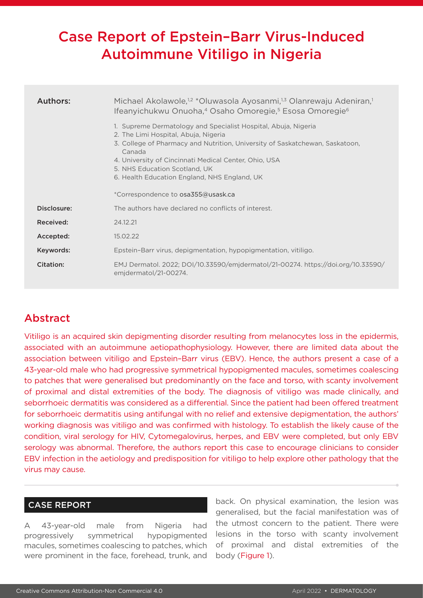# Case Report of Epstein–Barr Virus-Induced Autoimmune Vitiligo in Nigeria

| Authors:    | Michael Akolawole, <sup>1,2</sup> *Oluwasola Ayosanmi, <sup>1,3</sup> Olanrewaju Adeniran, <sup>1</sup><br>Ifeanyichukwu Onuoha, <sup>4</sup> Osaho Omoregie, <sup>5</sup> Esosa Omoregie <sup>6</sup>                                                                                                                                     |  |  |  |
|-------------|--------------------------------------------------------------------------------------------------------------------------------------------------------------------------------------------------------------------------------------------------------------------------------------------------------------------------------------------|--|--|--|
|             | 1. Supreme Dermatology and Specialist Hospital, Abuja, Nigeria<br>2. The Limi Hospital, Abuja, Nigeria<br>3. College of Pharmacy and Nutrition, University of Saskatchewan, Saskatoon,<br>Canada<br>4. University of Cincinnati Medical Center, Ohio, USA<br>5. NHS Education Scotland, UK<br>6. Health Education England, NHS England, UK |  |  |  |
|             | *Correspondence to osa355@usask.ca                                                                                                                                                                                                                                                                                                         |  |  |  |
| Disclosure: | The authors have declared no conflicts of interest.                                                                                                                                                                                                                                                                                        |  |  |  |
| Received:   | 24.12.21                                                                                                                                                                                                                                                                                                                                   |  |  |  |
| Accepted:   | 15.02.22                                                                                                                                                                                                                                                                                                                                   |  |  |  |
| Keywords:   | Epstein-Barr virus, depigmentation, hypopigmentation, vitiligo.                                                                                                                                                                                                                                                                            |  |  |  |
| Citation:   | EMJ Dermatol. 2022; DOI/10.33590/emjdermatol/21-00274. https://doi.org/10.33590/<br>emidermatol/21-00274.                                                                                                                                                                                                                                  |  |  |  |

# Abstract

Vitiligo is an acquired skin depigmenting disorder resulting from melanocytes loss in the epidermis, associated with an autoimmune aetiopathophysiology. However, there are limited data about the association between vitiligo and Epstein–Barr virus (EBV). Hence, the authors present a case of a 43-year-old male who had progressive symmetrical hypopigmented macules, sometimes coalescing to patches that were generalised but predominantly on the face and torso, with scanty involvement of proximal and distal extremities of the body. The diagnosis of vitiligo was made clinically, and seborrhoeic dermatitis was considered as a differential. Since the patient had been offered treatment for seborrhoeic dermatitis using antifungal with no relief and extensive depigmentation, the authors' working diagnosis was vitiligo and was confirmed with histology. To establish the likely cause of the condition, viral serology for HIV, Cytomegalovirus, herpes, and EBV were completed, but only EBV serology was abnormal. Therefore, the authors report this case to encourage clinicians to consider EBV infection in the aetiology and predisposition for vitiligo to help explore other pathology that the virus may cause.

# CASE REPORT

A 43-year-old male from Nigeria had progressively symmetrical hypopigmented macules, sometimes coalescing to patches, which were prominent in the face, forehead, trunk, and

back. On physical examination, the lesion was generalised, but the facial manifestation was of the utmost concern to the patient. There were lesions in the torso with scanty involvement of proximal and distal extremities of the body (Figure 1).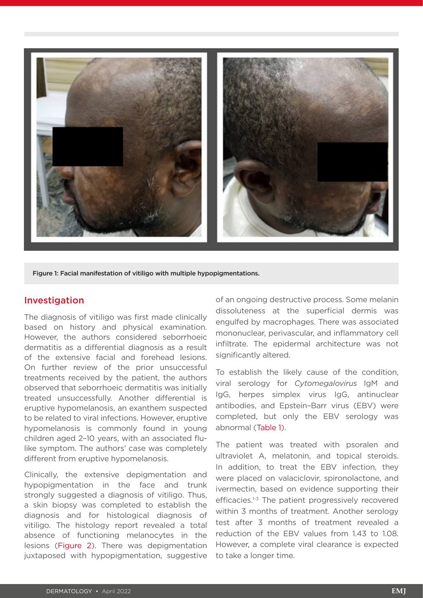

Figure 1: Facial manifestation of vitiligo with multiple hypopigmentations.

### Investigation

The diagnosis of vitiligo was first made clinically based on history and physical examination. However, the authors considered seborrhoeic dermatitis as a differential diagnosis as a result of the extensive facial and forehead lesions. On further review of the prior unsuccessful treatments received by the patient, the authors observed that seborrhoeic dermatitis was initially treated unsuccessfully. Another differential is eruptive hypomelanosis, an exanthem suspected to be related to viral infections. However, eruptive hypomelanosis is commonly found in young children aged 2–10 years, with an associated flulike symptom. The authors' case was completely different from eruptive hypomelanosis.

Clinically, the extensive depigmentation and hypopigmentation in the face and trunk strongly suggested a diagnosis of vitiligo. Thus, a skin biopsy was completed to establish the diagnosis and for histological diagnosis of vitiligo. The histology report revealed a total absence of functioning melanocytes in the lesions (Figure 2). There was depigmentation juxtaposed with hypopigmentation, suggestive

of an ongoing destructive process. Some melanin dissoluteness at the superficial dermis was engulfed by macrophages. There was associated mononuclear, perivascular, and inflammatory cell infiltrate. The epidermal architecture was not significantly altered.

To establish the likely cause of the condition, viral serology for *Cytomegalovirus* IgM and IgG, herpes simplex virus IgG, antinuclear antibodies, and Epstein–Barr virus (EBV) were completed, but only the EBV serology was abnormal (Table 1).

The patient was treated with psoralen and ultraviolet A, melatonin, and topical steroids. In addition, to treat the EBV infection, they were placed on valaciclovir, spironolactone, and ivermectin, based on evidence supporting their efficacies.<sup>1-3</sup> The patient progressively recovered within 3 months of treatment. Another serology test after 3 months of treatment revealed a reduction of the EBV values from 1.43 to 1.08. However, a complete viral clearance is expected to take a longer time.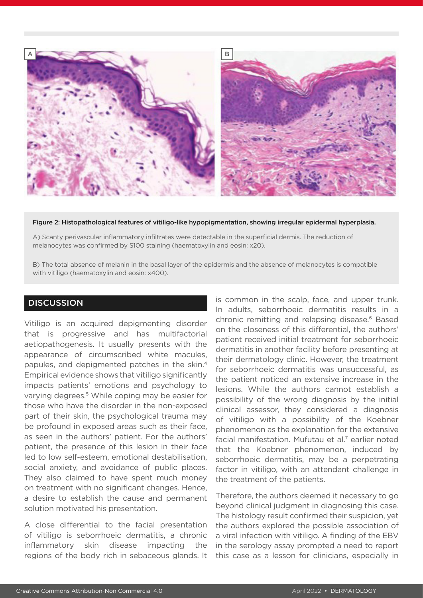

#### Figure 2: Histopathological features of vitiligo-like hypopigmentation, showing irregular epidermal hyperplasia.

A) Scanty perivascular inflammatory infiltrates were detectable in the superficial dermis. The reduction of melanocytes was confirmed by S100 staining (haematoxylin and eosin: x20).

B) The total absence of melanin in the basal layer of the epidermis and the absence of melanocytes is compatible with vitiligo (haematoxylin and eosin: x400).

## **DISCUSSION**

Vitiligo is an acquired depigmenting disorder that is progressive and has multifactorial aetiopathogenesis. It usually presents with the appearance of circumscribed white macules, papules, and depigmented patches in the skin.4 Empirical evidence shows that vitiligo significantly impacts patients' emotions and psychology to varying degrees.<sup>5</sup> While coping may be easier for those who have the disorder in the non-exposed part of their skin, the psychological trauma may be profound in exposed areas such as their face, as seen in the authors' patient. For the authors' patient, the presence of this lesion in their face led to low self-esteem, emotional destabilisation, social anxiety, and avoidance of public places. They also claimed to have spent much money on treatment with no significant changes. Hence, a desire to establish the cause and permanent solution motivated his presentation.

A close differential to the facial presentation of vitiligo is seborrhoeic dermatitis, a chronic inflammatory skin disease impacting the regions of the body rich in sebaceous glands. It is common in the scalp, face, and upper trunk. In adults, seborrhoeic dermatitis results in a chronic remitting and relapsing disease.<sup>6</sup> Based on the closeness of this differential, the authors' patient received initial treatment for seborrhoeic dermatitis in another facility before presenting at their dermatology clinic. However, the treatment for seborrhoeic dermatitis was unsuccessful, as the patient noticed an extensive increase in the lesions. While the authors cannot establish a possibility of the wrong diagnosis by the initial clinical assessor, they considered a diagnosis of vitiligo with a possibility of the Koebner phenomenon as the explanation for the extensive facial manifestation. Mufutau et al.<sup>7</sup> earlier noted that the Koebner phenomenon, induced by seborrhoeic dermatitis, may be a perpetrating factor in vitiligo, with an attendant challenge in the treatment of the patients.

Therefore, the authors deemed it necessary to go beyond clinical judgment in diagnosing this case. The histology result confirmed their suspicion, yet the authors explored the possible association of a viral infection with vitiligo. A finding of the EBV in the serology assay prompted a need to report this case as a lesson for clinicians, especially in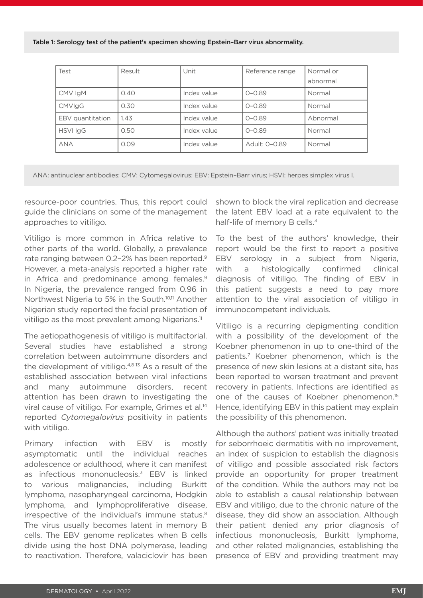#### Table 1: Serology test of the patient's specimen showing Epstein–Barr virus abnormality.

| Test             | Result | Unit        | Reference range | Normal or<br>abnormal |
|------------------|--------|-------------|-----------------|-----------------------|
| CMV IgM          | 0.40   | Index value | $O - O.89$      | Normal                |
| <b>CMVIgG</b>    | 0.30   | Index value | $0 - 0.89$      | Normal                |
| EBV quantitation | 1.43   | Index value | $O - O.89$      | Abnormal              |
| <b>HSVI IgG</b>  | 0.50   | Index value | $O - O.89$      | Normal                |
| <b>ANA</b>       | 0.09   | Index value | Adult: 0-0.89   | Normal                |

ANA: antinuclear antibodies; CMV: Cytomegalovirus; EBV: Epstein–Barr virus; HSVI: herpes simplex virus I.

resource-poor countries. Thus, this report could guide the clinicians on some of the management approaches to vitiligo.

Vitiligo is more common in Africa relative to other parts of the world. Globally, a prevalence rate ranging between 0.2-2% has been reported.<sup>9</sup> However, a meta-analysis reported a higher rate in Africa and predominance among females.<sup>9</sup> In Nigeria, the prevalence ranged from 0.96 in Northwest Nigeria to 5% in the South.<sup>10,11</sup> Another Nigerian study reported the facial presentation of vitiligo as the most prevalent among Nigerians.<sup>11</sup>

The aetiopathogenesis of vitiligo is multifactorial. Several studies have established a strong correlation between autoimmune disorders and the development of vitiligo. $4,8-13$  As a result of the established association between viral infections and many autoimmune disorders, recent attention has been drawn to investigating the viral cause of vitiligo. For example, Grimes et al.<sup>14</sup> reported *Cytomegalovirus* positivity in patients with vitiligo.

Primary infection with EBV is mostly asymptomatic until the individual reaches adolescence or adulthood, where it can manifest as infectious mononucleosis.<sup>3</sup> EBV is linked to various malignancies, including Burkitt lymphoma, nasopharyngeal carcinoma, Hodgkin lymphoma, and lymphoproliferative disease, irrespective of the individual's immune status.<sup>8</sup> The virus usually becomes latent in memory B cells. The EBV genome replicates when B cells divide using the host DNA polymerase, leading to reactivation. Therefore, valaciclovir has been

shown to block the viral replication and decrease the latent EBV load at a rate equivalent to the half-life of memory B cells.<sup>3</sup>

To the best of the authors' knowledge, their report would be the first to report a positive EBV serology in a subject from Nigeria, with a histologically confirmed clinical diagnosis of vitiligo. The finding of EBV in this patient suggests a need to pay more attention to the viral association of vitiligo in immunocompetent individuals.

Vitiligo is a recurring depigmenting condition with a possibility of the development of the Koebner phenomenon in up to one-third of the patients.7 Koebner phenomenon, which is the presence of new skin lesions at a distant site, has been reported to worsen treatment and prevent recovery in patients. Infections are identified as one of the causes of Koebner phenomenon.15 Hence, identifying EBV in this patient may explain the possibility of this phenomenon.

Although the authors' patient was initially treated for seborrhoeic dermatitis with no improvement, an index of suspicion to establish the diagnosis of vitiligo and possible associated risk factors provide an opportunity for proper treatment of the condition. While the authors may not be able to establish a causal relationship between EBV and vitiligo, due to the chronic nature of the disease, they did show an association. Although their patient denied any prior diagnosis of infectious mononucleosis, Burkitt lymphoma, and other related malignancies, establishing the presence of EBV and providing treatment may